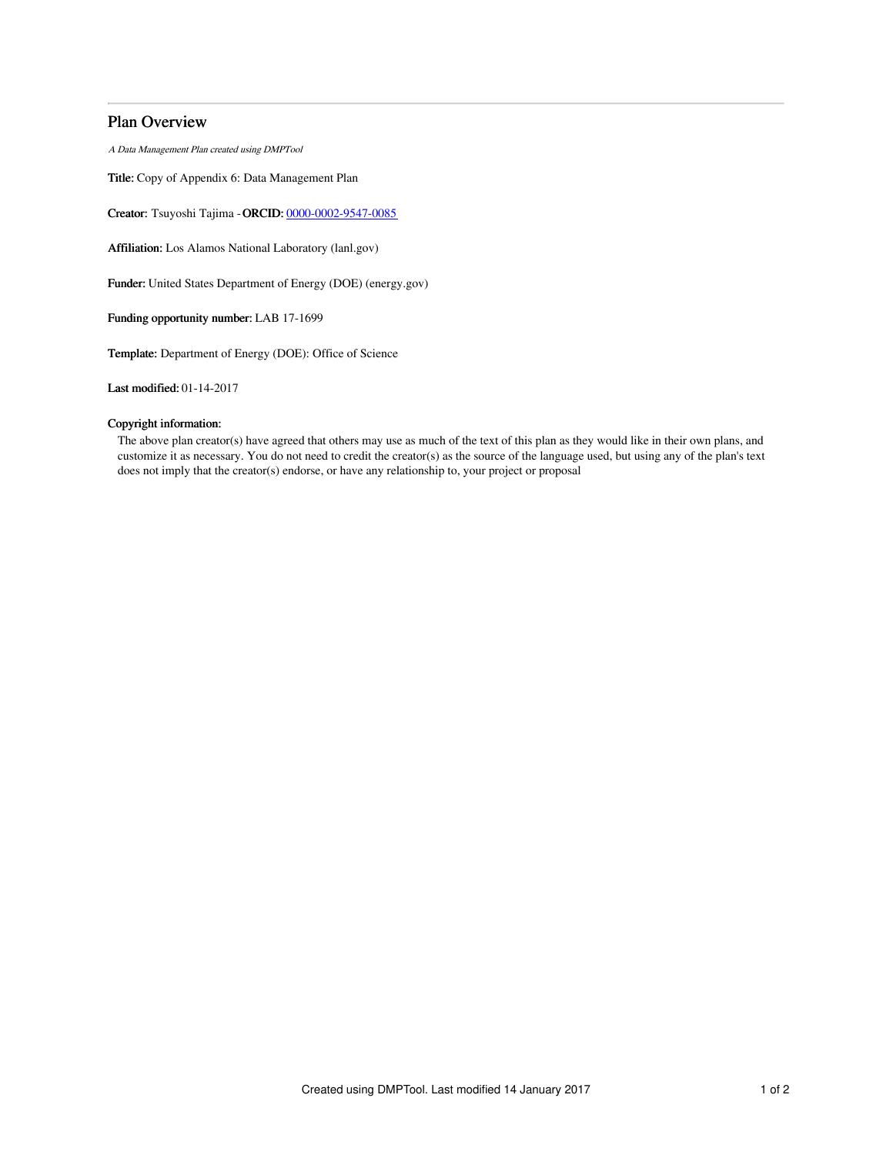# Plan Overview

A Data Management Plan created using DMPTool

Title: Copy of Appendix 6: Data Management Plan

Creator: Tsuyoshi Tajima -ORCID: [0000-0002-9547-0085](https://orcid.org/0000-0002-9547-0085)

Affiliation: Los Alamos National Laboratory (lanl.gov)

Funder: United States Department of Energy (DOE) (energy.gov)

Funding opportunity number: LAB 17-1699

Template: Department of Energy (DOE): Office of Science

Last modified: 01-14-2017

## Copyright information:

The above plan creator(s) have agreed that others may use as much of the text of this plan as they would like in their own plans, and customize it as necessary. You do not need to credit the creator(s) as the source of the language used, but using any of the plan's text does not imply that the creator(s) endorse, or have any relationship to, your project or proposal